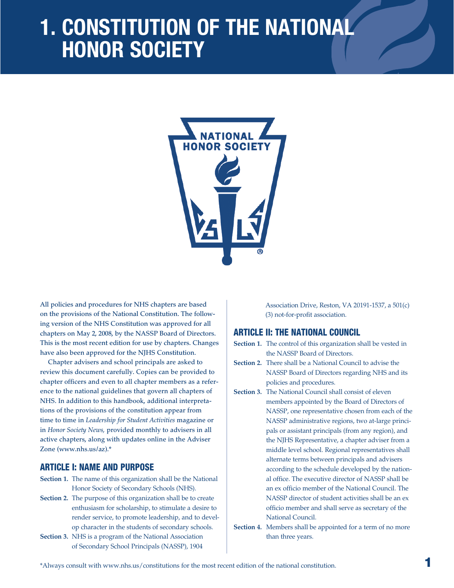# **1. Constitution of the National Honor Society**



All policies and procedures for NHS chapters are based on the provisions of the National Constitution. The following version of the NHS Constitution was approved for all chapters on May 2, 2008, by the NASSP Board of Directors. This is the most recent edition for use by chapters. Changes have also been approved for the NJHS Constitution.

Chapter advisers and school principals are asked to review this document carefully. Copies can be provided to chapter officers and even to all chapter members as a reference to the national guidelines that govern all chapters of NHS. In addition to this handbook, additional interpretations of the provisions of the constitution appear from time to time in *Leadership for Student Activities* magazine or in *Honor Society News,* provided monthly to advisers in all active chapters, along with updates online in the Adviser Zone (www.nhs.us/az).\*

# ARTICLE I: NAME AND PURPOSE

- **Section 1.** The name of this organization shall be the National Honor Society of Secondary Schools (NHS).
- **Section 2.** The purpose of this organization shall be to create enthusiasm for scholarship, to stimulate a desire to render service, to promote leadership, and to develop character in the students of secondary schools.
- **Section 3.** NHS is a program of the National Association of Secondary School Principals (NASSP), 1904

Association Drive, Reston, VA 20191-1537, a 501(c) (3) not-for-profit association.

# ARTICLE II: THE NATIONAL COUNCIL

**Section 1.** The control of this organization shall be vested in the NASSP Board of Directors.

- **Section 2.** There shall be a National Council to advise the NASSP Board of Directors regarding NHS and its policies and procedures.
- **Section 3.** The National Council shall consist of eleven members appointed by the Board of Directors of NASSP, one representative chosen from each of the NASSP administrative regions, two at-large principals or assistant principals (from any region), and the NJHS Representative, a chapter adviser from a middle level school. Regional representatives shall alternate terms between principals and advisers according to the schedule developed by the national office. The executive director of NASSP shall be an ex officio member of the National Council. The NASSP director of student activities shall be an ex officio member and shall serve as secretary of the National Council.
- **Section 4.** Members shall be appointed for a term of no more than three years.

\*Always consult with www.nhs.us/constitutions for the most recent edition of the national constitution.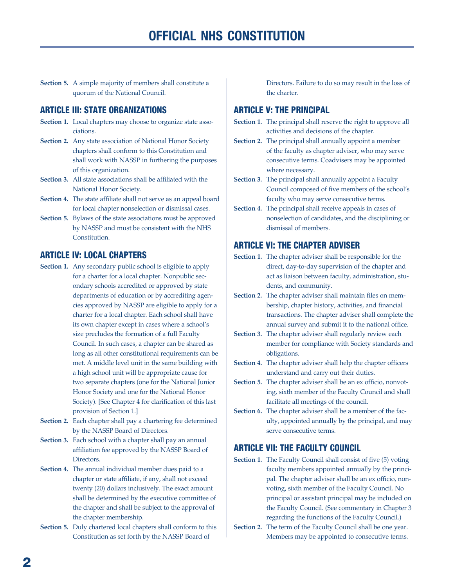**Section 5.** A simple majority of members shall constitute a quorum of the National Council.

## ARTICLE III: STATE ORGANIZATIONS

- **Section 1.** Local chapters may choose to organize state associations.
- **Section 2.** Any state association of National Honor Society chapters shall conform to this Constitution and shall work with NASSP in furthering the purposes of this organization.
- **Section 3.** All state associations shall be affiliated with the National Honor Society.
- **Section 4.** The state affiliate shall not serve as an appeal board for local chapter nonselection or dismissal cases.
- **Section 5.** Bylaws of the state associations must be approved by NASSP and must be consistent with the NHS Constitution.

## ARTICLE IV: LOCAL CHAPTERS

- **Section 1.** Any secondary public school is eligible to apply for a charter for a local chapter. Nonpublic secondary schools accredited or approved by state departments of education or by accrediting agencies approved by NASSP are eligible to apply for a charter for a local chapter. Each school shall have its own chapter except in cases where a school's size precludes the formation of a full Faculty Council. In such cases, a chapter can be shared as long as all other constitutional requirements can be met. A middle level unit in the same building with a high school unit will be appropriate cause for two separate chapters (one for the National Junior Honor Society and one for the National Honor Society). [See Chapter 4 for clarification of this last provision of Section 1.]
- **Section 2.** Each chapter shall pay a chartering fee determined by the NASSP Board of Directors.
- **Section 3.** Each school with a chapter shall pay an annual affiliation fee approved by the NASSP Board of Directors.
- **Section 4.** The annual individual member dues paid to a chapter or state affiliate, if any, shall not exceed twenty (20) dollars inclusively. The exact amount shall be determined by the executive committee of the chapter and shall be subject to the approval of the chapter membership.
- **Section 5.** Duly chartered local chapters shall conform to this Constitution as set forth by the NASSP Board of

Directors. Failure to do so may result in the loss of the charter.

# ARTICLE V: THE PRINCIPAL

- **Section 1.** The principal shall reserve the right to approve all activities and decisions of the chapter.
- **Section 2.** The principal shall annually appoint a member of the faculty as chapter adviser, who may serve consecutive terms. Coadvisers may be appointed where necessary.
- **Section 3.** The principal shall annually appoint a Faculty Council composed of five members of the school's faculty who may serve consecutive terms.
- **Section 4.** The principal shall receive appeals in cases of nonselection of candidates, and the disciplining or dismissal of members.

# ARTICLE VI: THE CHAPTER ADVISER

- **Section 1.** The chapter adviser shall be responsible for the direct, day-to-day supervision of the chapter and act as liaison between faculty, administration, students, and community.
- **Section 2.** The chapter adviser shall maintain files on membership, chapter history, activities, and financial transactions. The chapter adviser shall complete the annual survey and submit it to the national office.
- **Section 3.** The chapter adviser shall regularly review each member for compliance with Society standards and obligations.
- **Section 4.** The chapter adviser shall help the chapter officers understand and carry out their duties.
- Section 5. The chapter adviser shall be an ex officio, nonvoting, sixth member of the Faculty Council and shall facilitate all meetings of the council.
- **Section 6.** The chapter adviser shall be a member of the faculty, appointed annually by the principal, and may serve consecutive terms.

## ARTICLE VII: THE FACULTY COUNCIL

- **Section 1.** The Faculty Council shall consist of five (5) voting faculty members appointed annually by the principal. The chapter adviser shall be an ex officio, nonvoting, sixth member of the Faculty Council. No principal or assistant principal may be included on the Faculty Council. (See commentary in Chapter 3 regarding the functions of the Faculty Council.)
- **Section 2.** The term of the Faculty Council shall be one year. Members may be appointed to consecutive terms.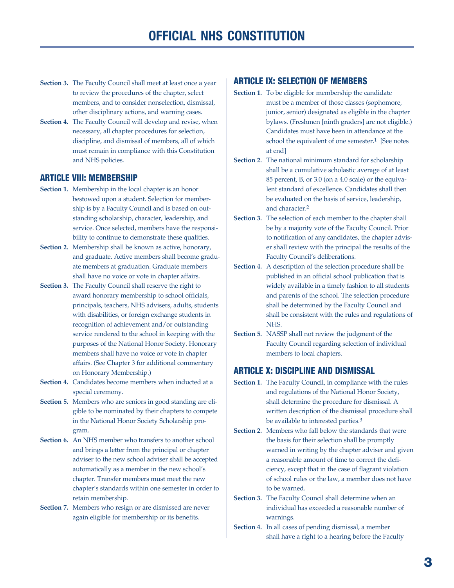- **Section 3.** The Faculty Council shall meet at least once a year to review the procedures of the chapter, select members, and to consider nonselection, dismissal, other disciplinary actions, and warning cases.
- **Section 4.** The Faculty Council will develop and revise, when necessary, all chapter procedures for selection, discipline, and dismissal of members, all of which must remain in compliance with this Constitution and NHS policies.

### ARTICLE VIII: MEMBERSHIP

- **Section 1.** Membership in the local chapter is an honor bestowed upon a student. Selection for membership is by a Faculty Council and is based on outstanding scholarship, character, leadership, and service. Once selected, members have the responsibility to continue to demonstrate these qualities.
- **Section 2.** Membership shall be known as active, honorary, and graduate. Active members shall become graduate members at graduation. Graduate members shall have no voice or vote in chapter affairs.
- **Section 3.** The Faculty Council shall reserve the right to award honorary membership to school officials, principals, teachers, NHS advisers, adults, students with disabilities, or foreign exchange students in recognition of achievement and/or outstanding service rendered to the school in keeping with the purposes of the National Honor Society. Honorary members shall have no voice or vote in chapter affairs. (See Chapter 3 for additional commentary on Honorary Membership.)
- **Section 4.** Candidates become members when inducted at a special ceremony.
- **Section 5.** Members who are seniors in good standing are eligible to be nominated by their chapters to compete in the National Honor Society Scholarship program.
- **Section 6.** An NHS member who transfers to another school and brings a letter from the principal or chapter adviser to the new school adviser shall be accepted automatically as a member in the new school's chapter. Transfer members must meet the new chapter's standards within one semester in order to retain membership.
- **Section 7.** Members who resign or are dismissed are never again eligible for membership or its benefits.

# ARTICLE IX: SELECTION OF MEMBERS

- **Section 1.** To be eligible for membership the candidate must be a member of those classes (sophomore, junior, senior) designated as eligible in the chapter bylaws. (Freshmen [ninth graders] are not eligible.) Candidates must have been in attendance at the school the equivalent of one semester. 1 [See notes at end]
- **Section 2.** The national minimum standard for scholarship shall be a cumulative scholastic average of at least 85 percent, B, or 3.0 (on a 4.0 scale) or the equivalent standard of excellence. Candidates shall then be evaluated on the basis of service, leadership, and character. 2
- **Section 3.** The selection of each member to the chapter shall be by a majority vote of the Faculty Council. Prior to notification of any candidates, the chapter adviser shall review with the principal the results of the Faculty Council's deliberations.
- **Section 4.** A description of the selection procedure shall be published in an official school publication that is widely available in a timely fashion to all students and parents of the school. The selection procedure shall be determined by the Faculty Council and shall be consistent with the rules and regulations of NHS.
- **Section 5.** NASSP shall not review the judgment of the Faculty Council regarding selection of individual members to local chapters.

#### ARTICLE X: DISCIPLINE AND DISMISSAL

- **Section 1.** The Faculty Council, in compliance with the rules and regulations of the National Honor Society, shall determine the procedure for dismissal. A written description of the dismissal procedure shall be available to interested parties.<sup>3</sup>
- **Section 2.** Members who fall below the standards that were the basis for their selection shall be promptly warned in writing by the chapter adviser and given a reasonable amount of time to correct the deficiency, except that in the case of flagrant violation of school rules or the law, a member does not have to be warned.
- **Section 3.** The Faculty Council shall determine when an individual has exceeded a reasonable number of warnings.
- **Section 4.** In all cases of pending dismissal, a member shall have a right to a hearing before the Faculty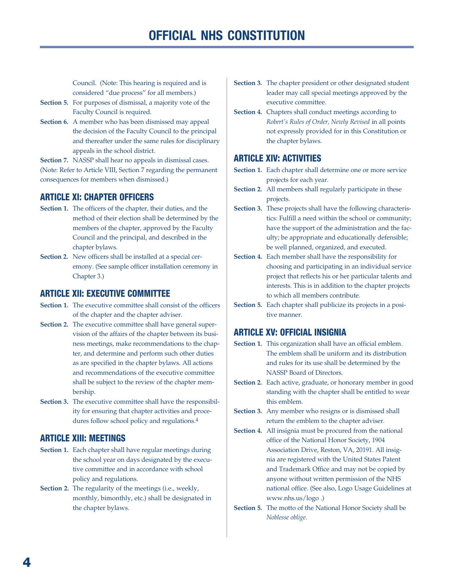Council. (Note: This hearing is required and is considered "due process" for all members.)

- **Section 5.** For purposes of dismissal, a majority vote of the Faculty Council is required.
- **Section 6.** A member who has been dismissed may appeal the decision of the Faculty Council to the principal and thereafter under the same rules for disciplinary appeals in the school district.

**Section 7.** NASSP shall hear no appeals in dismissal cases. (Note: Refer to Article VIII, Section 7 regarding the permanent consequences for members when dismissed.)

# ARTICLE XI: CHAPTER OFFICERS

- **Section 1.** The officers of the chapter, their duties, and the method of their election shall be determined by the members of the chapter, approved by the Faculty Council and the principal, and described in the chapter bylaws.
- **Section 2.** New officers shall be installed at a special ceremony. (See sample officer installation ceremony in Chapter 3.)

# ARTICLE XII: EXECUTIVE COMMITTEE

- Section 1. The executive committee shall consist of the officers of the chapter and the chapter adviser.
- **Section 2.** The executive committee shall have general supervision of the affairs of the chapter between its business meetings, make recommendations to the chapter, and determine and perform such other duties as are specified in the chapter bylaws. All actions and recommendations of the executive committee shall be subject to the review of the chapter membership.
- **Section 3.** The executive committee shall have the responsibility for ensuring that chapter activities and procedures follow school policy and regulations. 4

# ARTICLE XIII: MEETINGS

- **Section 1.** Each chapter shall have regular meetings during the school year on days designated by the executive committee and in accordance with school policy and regulations.
- **Section 2.** The regularity of the meetings (i.e., weekly, monthly, bimonthly, etc.) shall be designated in the chapter bylaws.
- **Section 3.** The chapter president or other designated student leader may call special meetings approved by the executive committee.
- **Section 4.** Chapters shall conduct meetings according to *Robert's Rules of Order, Newly Revised* in all points not expressly provided for in this Constitution or the chapter bylaws.

# ARTICLE XIV: ACTIVITIES

- **Section 1.** Each chapter shall determine one or more service projects for each year.
- **Section 2.** All members shall regularly participate in these projects.
- **Section 3.** These projects shall have the following characteristics: Fulfill a need within the school or community; have the support of the administration and the faculty; be appropriate and educationally defensible; be well planned, organized, and executed.
- **Section 4.** Each member shall have the responsibility for choosing and participating in an individual service project that reflects his or her particular talents and interests. This is in addition to the chapter projects to which all members contribute.
- **Section 5.** Each chapter shall publicize its projects in a positive manner.

# ARTICLE XV: OFFICIAL INSIGNIA

- **Section 1.** This organization shall have an official emblem. The emblem shall be uniform and its distribution and rules for its use shall be determined by the NASSP Board of Directors.
- **Section 2.** Each active, graduate, or honorary member in good standing with the chapter shall be entitled to wear this emblem.
- **Section 3.** Any member who resigns or is dismissed shall return the emblem to the chapter adviser.
- **Section 4.** All insignia must be procured from the national office of the National Honor Society, 1904 Association Drive, Reston, VA, 20191. All insignia are registered with the United States Patent and Trademark Office and may not be copied by anyone without written permission of the NHS national office. (See also, Logo Usage Guidelines at www.nhs.us/logo .)
- **Section 5.** The motto of the National Honor Society shall be *Noblesse oblige.*